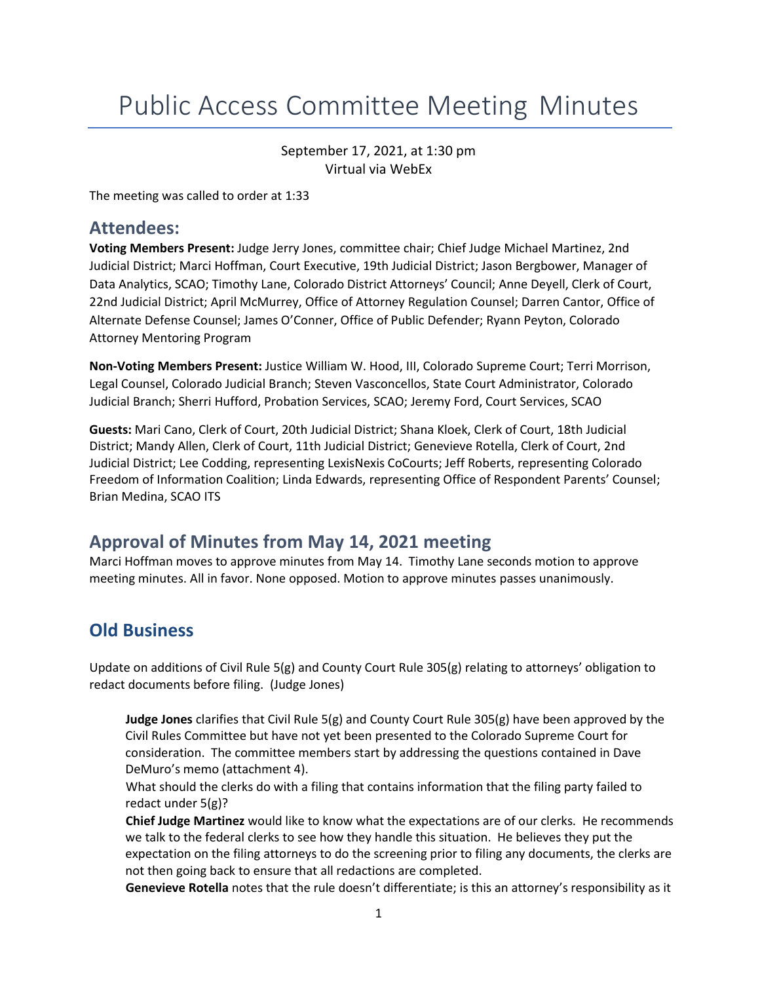# Public Access Committee Meeting Minutes

September 17, 2021, at 1:30 pm Virtual via WebEx

The meeting was called to order at 1:33

#### **Attendees:**

**Voting Members Present:** Judge Jerry Jones, committee chair; Chief Judge Michael Martinez, 2nd Judicial District; Marci Hoffman, Court Executive, 19th Judicial District; Jason Bergbower, Manager of Data Analytics, SCAO; Timothy Lane, Colorado District Attorneys' Council; Anne Deyell, Clerk of Court, 22nd Judicial District; April McMurrey, Office of Attorney Regulation Counsel; Darren Cantor, Office of Alternate Defense Counsel; James O'Conner, Office of Public Defender; Ryann Peyton, Colorado Attorney Mentoring Program

**Non-Voting Members Present:** Justice William W. Hood, III, Colorado Supreme Court; Terri Morrison, Legal Counsel, Colorado Judicial Branch; Steven Vasconcellos, State Court Administrator, Colorado Judicial Branch; Sherri Hufford, Probation Services, SCAO; Jeremy Ford, Court Services, SCAO

**Guests:** Mari Cano, Clerk of Court, 20th Judicial District; Shana Kloek, Clerk of Court, 18th Judicial District; Mandy Allen, Clerk of Court, 11th Judicial District; Genevieve Rotella, Clerk of Court, 2nd Judicial District; Lee Codding, representing LexisNexis CoCourts; Jeff Roberts, representing Colorado Freedom of Information Coalition; Linda Edwards, representing Office of Respondent Parents' Counsel; Brian Medina, SCAO ITS

## **Approval of Minutes from May 14, 2021 meeting**

Marci Hoffman moves to approve minutes from May 14. Timothy Lane seconds motion to approve meeting minutes. All in favor. None opposed. Motion to approve minutes passes unanimously.

## **Old Business**

Update on additions of Civil Rule 5(g) and County Court Rule 305(g) relating to attorneys' obligation to redact documents before filing. (Judge Jones)

**Judge Jones** clarifies that Civil Rule 5(g) and County Court Rule 305(g) have been approved by the Civil Rules Committee but have not yet been presented to the Colorado Supreme Court for consideration. The committee members start by addressing the questions contained in Dave DeMuro's memo (attachment 4).

What should the clerks do with a filing that contains information that the filing party failed to redact under 5(g)?

**Chief Judge Martinez** would like to know what the expectations are of our clerks. He recommends we talk to the federal clerks to see how they handle this situation. He believes they put the expectation on the filing attorneys to do the screening prior to filing any documents, the clerks are not then going back to ensure that all redactions are completed.

**Genevieve Rotella** notes that the rule doesn't differentiate; is this an attorney's responsibility as it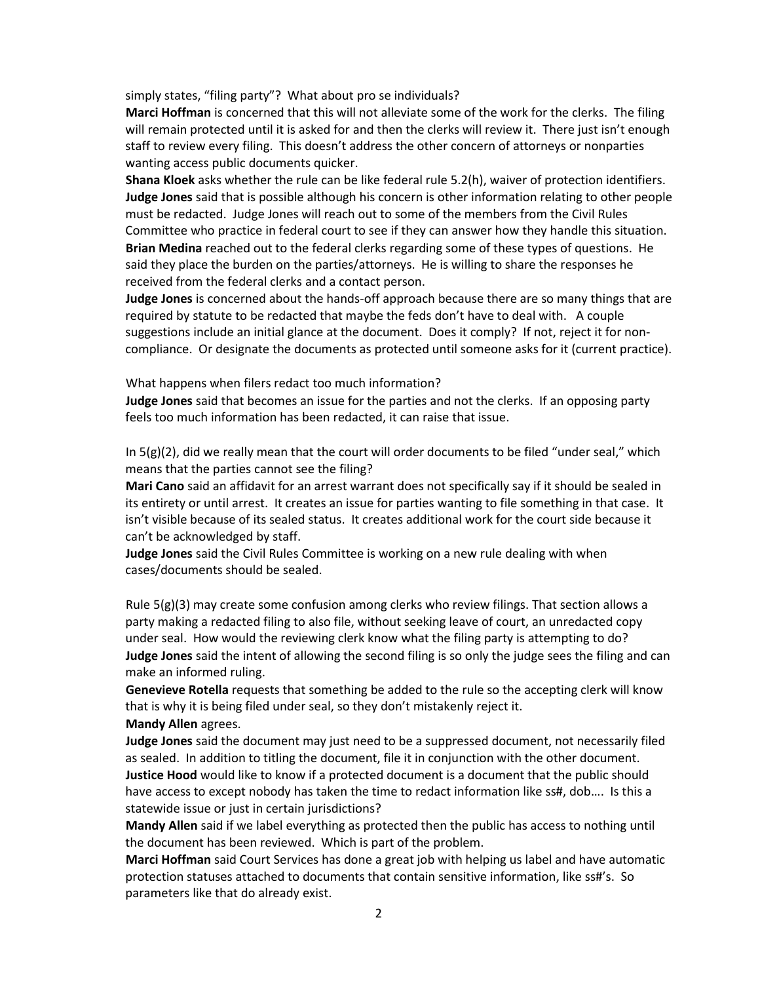simply states, "filing party"? What about pro se individuals?

**Marci Hoffman** is concerned that this will not alleviate some of the work for the clerks. The filing will remain protected until it is asked for and then the clerks will review it. There just isn't enough staff to review every filing. This doesn't address the other concern of attorneys or nonparties wanting access public documents quicker.

**Shana Kloek** asks whether the rule can be like federal rule 5.2(h), waiver of protection identifiers. **Judge Jones** said that is possible although his concern is other information relating to other people must be redacted. Judge Jones will reach out to some of the members from the Civil Rules Committee who practice in federal court to see if they can answer how they handle this situation. **Brian Medina** reached out to the federal clerks regarding some of these types of questions. He said they place the burden on the parties/attorneys. He is willing to share the responses he received from the federal clerks and a contact person.

**Judge Jones** is concerned about the hands-off approach because there are so many things that are required by statute to be redacted that maybe the feds don't have to deal with. A couple suggestions include an initial glance at the document. Does it comply? If not, reject it for noncompliance. Or designate the documents as protected until someone asks for it (current practice).

What happens when filers redact too much information?

**Judge Jones** said that becomes an issue for the parties and not the clerks. If an opposing party feels too much information has been redacted, it can raise that issue.

In 5(g)(2), did we really mean that the court will order documents to be filed "under seal," which means that the parties cannot see the filing?

**Mari Cano** said an affidavit for an arrest warrant does not specifically say if it should be sealed in its entirety or until arrest. It creates an issue for parties wanting to file something in that case. It isn't visible because of its sealed status. It creates additional work for the court side because it can't be acknowledged by staff.

**Judge Jones** said the Civil Rules Committee is working on a new rule dealing with when cases/documents should be sealed.

Rule  $5(g)(3)$  may create some confusion among clerks who review filings. That section allows a party making a redacted filing to also file, without seeking leave of court, an unredacted copy under seal. How would the reviewing clerk know what the filing party is attempting to do? **Judge Jones** said the intent of allowing the second filing is so only the judge sees the filing and can make an informed ruling.

**Genevieve Rotella** requests that something be added to the rule so the accepting clerk will know that is why it is being filed under seal, so they don't mistakenly reject it. **Mandy Allen** agrees.

**Judge Jones** said the document may just need to be a suppressed document, not necessarily filed as sealed. In addition to titling the document, file it in conjunction with the other document. **Justice Hood** would like to know if a protected document is a document that the public should have access to except nobody has taken the time to redact information like ss#, dob.... Is this a statewide issue or just in certain jurisdictions?

**Mandy Allen** said if we label everything as protected then the public has access to nothing until the document has been reviewed. Which is part of the problem.

**Marci Hoffman** said Court Services has done a great job with helping us label and have automatic protection statuses attached to documents that contain sensitive information, like ss#'s. So parameters like that do already exist.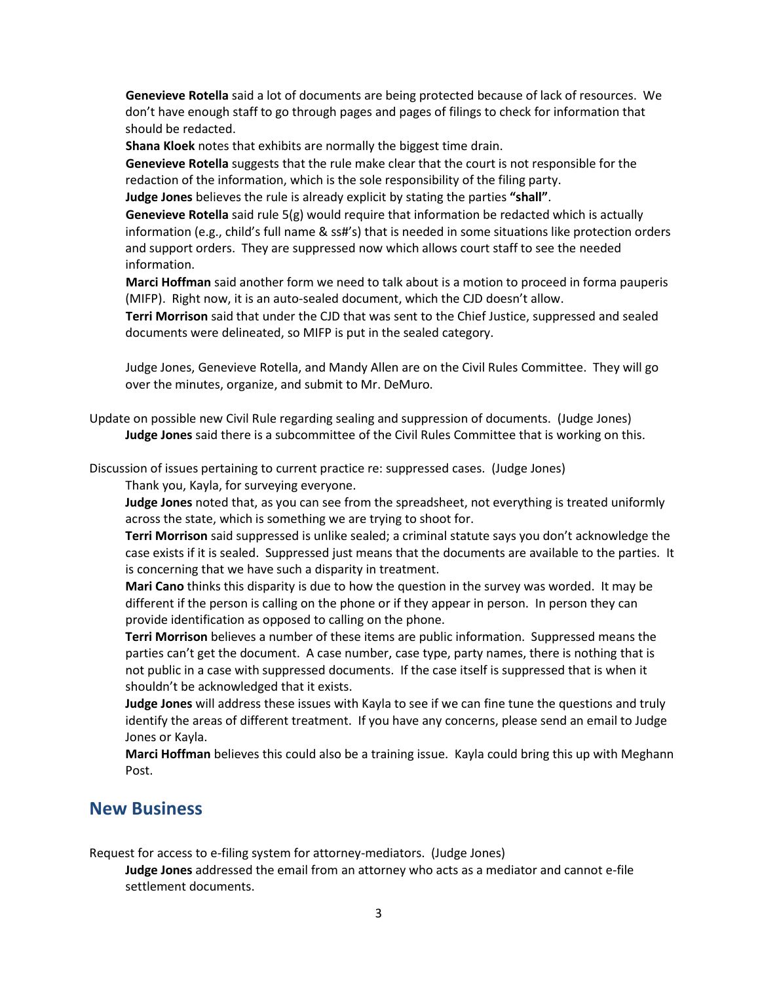**Genevieve Rotella** said a lot of documents are being protected because of lack of resources. We don't have enough staff to go through pages and pages of filings to check for information that should be redacted.

**Shana Kloek** notes that exhibits are normally the biggest time drain.

**Genevieve Rotella** suggests that the rule make clear that the court is not responsible for the redaction of the information, which is the sole responsibility of the filing party.

**Judge Jones** believes the rule is already explicit by stating the parties **"shall"**.

**Genevieve Rotella** said rule 5(g) would require that information be redacted which is actually information (e.g., child's full name & ss#'s) that is needed in some situations like protection orders and support orders. They are suppressed now which allows court staff to see the needed information.

**Marci Hoffman** said another form we need to talk about is a motion to proceed in forma pauperis (MIFP). Right now, it is an auto-sealed document, which the CJD doesn't allow.

**Terri Morrison** said that under the CJD that was sent to the Chief Justice, suppressed and sealed documents were delineated, so MIFP is put in the sealed category.

Judge Jones, Genevieve Rotella, and Mandy Allen are on the Civil Rules Committee. They will go over the minutes, organize, and submit to Mr. DeMuro.

Update on possible new Civil Rule regarding sealing and suppression of documents. (Judge Jones) **Judge Jones** said there is a subcommittee of the Civil Rules Committee that is working on this.

Discussion of issues pertaining to current practice re: suppressed cases. (Judge Jones)

Thank you, Kayla, for surveying everyone.

**Judge Jones** noted that, as you can see from the spreadsheet, not everything is treated uniformly across the state, which is something we are trying to shoot for.

**Terri Morrison** said suppressed is unlike sealed; a criminal statute says you don't acknowledge the case exists if it is sealed. Suppressed just means that the documents are available to the parties. It is concerning that we have such a disparity in treatment.

**Mari Cano** thinks this disparity is due to how the question in the survey was worded. It may be different if the person is calling on the phone or if they appear in person. In person they can provide identification as opposed to calling on the phone.

**Terri Morrison** believes a number of these items are public information. Suppressed means the parties can't get the document. A case number, case type, party names, there is nothing that is not public in a case with suppressed documents. If the case itself is suppressed that is when it shouldn't be acknowledged that it exists.

**Judge Jones** will address these issues with Kayla to see if we can fine tune the questions and truly identify the areas of different treatment. If you have any concerns, please send an email to Judge Jones or Kayla.

**Marci Hoffman** believes this could also be a training issue. Kayla could bring this up with Meghann Post.

### **New Business**

Request for access to e-filing system for attorney-mediators. (Judge Jones)

**Judge Jones** addressed the email from an attorney who acts as a mediator and cannot e-file settlement documents.